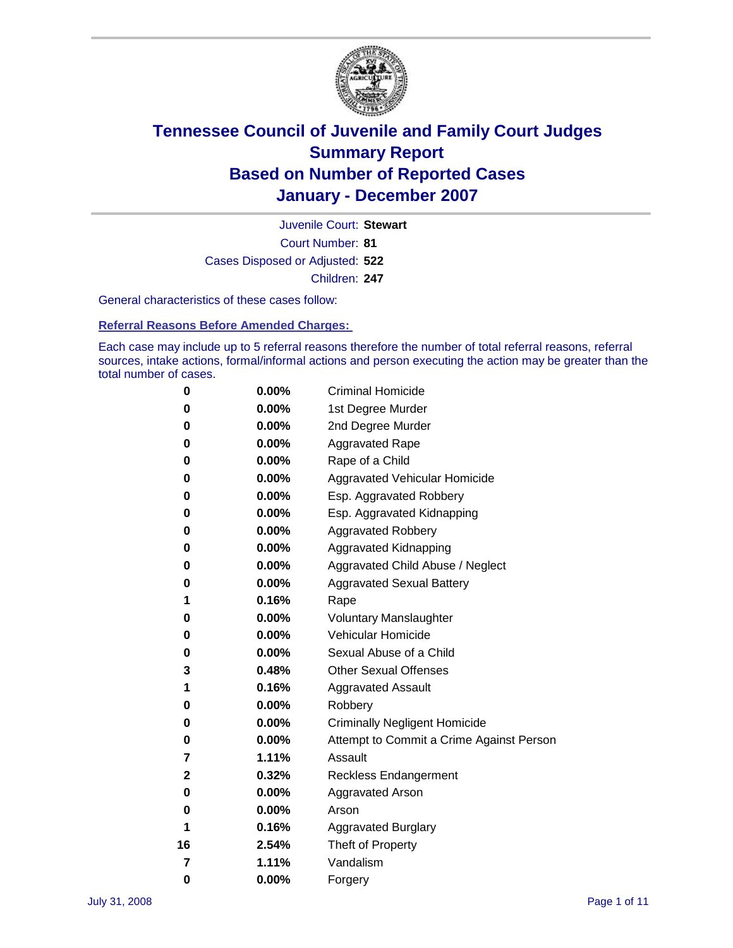

Court Number: **81** Juvenile Court: **Stewart** Cases Disposed or Adjusted: **522** Children: **247**

General characteristics of these cases follow:

**Referral Reasons Before Amended Charges:** 

Each case may include up to 5 referral reasons therefore the number of total referral reasons, referral sources, intake actions, formal/informal actions and person executing the action may be greater than the total number of cases.

| 0  | 0.00%    | <b>Criminal Homicide</b>                 |
|----|----------|------------------------------------------|
| 0  | 0.00%    | 1st Degree Murder                        |
| 0  | $0.00\%$ | 2nd Degree Murder                        |
| 0  | 0.00%    | <b>Aggravated Rape</b>                   |
| 0  | 0.00%    | Rape of a Child                          |
| 0  | 0.00%    | Aggravated Vehicular Homicide            |
| 0  | 0.00%    | Esp. Aggravated Robbery                  |
| 0  | 0.00%    | Esp. Aggravated Kidnapping               |
| 0  | 0.00%    | <b>Aggravated Robbery</b>                |
| 0  | 0.00%    | Aggravated Kidnapping                    |
| 0  | 0.00%    | Aggravated Child Abuse / Neglect         |
| 0  | $0.00\%$ | <b>Aggravated Sexual Battery</b>         |
| 1  | 0.16%    | Rape                                     |
| 0  | 0.00%    | <b>Voluntary Manslaughter</b>            |
| 0  | 0.00%    | Vehicular Homicide                       |
| 0  | 0.00%    | Sexual Abuse of a Child                  |
| 3  | 0.48%    | <b>Other Sexual Offenses</b>             |
| 1  | 0.16%    | <b>Aggravated Assault</b>                |
| 0  | $0.00\%$ | Robbery                                  |
| 0  | 0.00%    | <b>Criminally Negligent Homicide</b>     |
| 0  | 0.00%    | Attempt to Commit a Crime Against Person |
| 7  | 1.11%    | Assault                                  |
| 2  | 0.32%    | <b>Reckless Endangerment</b>             |
| 0  | 0.00%    | <b>Aggravated Arson</b>                  |
| 0  | 0.00%    | Arson                                    |
| 1  | 0.16%    | <b>Aggravated Burglary</b>               |
| 16 | 2.54%    | Theft of Property                        |
| 7  | 1.11%    | Vandalism                                |
| 0  | 0.00%    | Forgery                                  |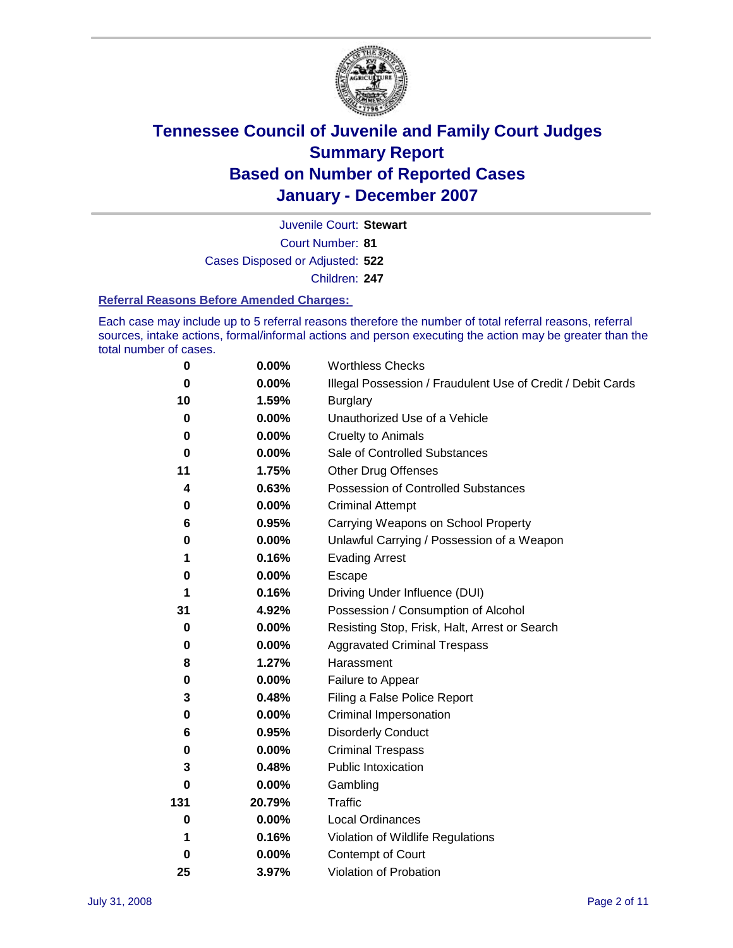

Court Number: **81** Juvenile Court: **Stewart** Cases Disposed or Adjusted: **522** Children: **247**

### **Referral Reasons Before Amended Charges:**

Each case may include up to 5 referral reasons therefore the number of total referral reasons, referral sources, intake actions, formal/informal actions and person executing the action may be greater than the total number of cases.

| 0        | 0.00%    | <b>Worthless Checks</b>                                     |  |  |
|----------|----------|-------------------------------------------------------------|--|--|
| 0        | 0.00%    | Illegal Possession / Fraudulent Use of Credit / Debit Cards |  |  |
| 10       | 1.59%    | <b>Burglary</b>                                             |  |  |
| 0        | $0.00\%$ | Unauthorized Use of a Vehicle                               |  |  |
| $\bf{0}$ | 0.00%    | <b>Cruelty to Animals</b>                                   |  |  |
| 0        | $0.00\%$ | Sale of Controlled Substances                               |  |  |
| 11       | 1.75%    | <b>Other Drug Offenses</b>                                  |  |  |
| 4        | 0.63%    | <b>Possession of Controlled Substances</b>                  |  |  |
| 0        | 0.00%    | <b>Criminal Attempt</b>                                     |  |  |
| 6        | 0.95%    | Carrying Weapons on School Property                         |  |  |
| 0        | 0.00%    | Unlawful Carrying / Possession of a Weapon                  |  |  |
| 1        | 0.16%    | <b>Evading Arrest</b>                                       |  |  |
| 0        | 0.00%    | Escape                                                      |  |  |
| 1        | 0.16%    | Driving Under Influence (DUI)                               |  |  |
| 31       | 4.92%    | Possession / Consumption of Alcohol                         |  |  |
| 0        | 0.00%    | Resisting Stop, Frisk, Halt, Arrest or Search               |  |  |
| 0        | $0.00\%$ | <b>Aggravated Criminal Trespass</b>                         |  |  |
| 8        | 1.27%    | Harassment                                                  |  |  |
| 0        | $0.00\%$ | Failure to Appear                                           |  |  |
| 3        | 0.48%    | Filing a False Police Report                                |  |  |
| 0        | 0.00%    | Criminal Impersonation                                      |  |  |
| 6        | 0.95%    | <b>Disorderly Conduct</b>                                   |  |  |
| 0        | 0.00%    | <b>Criminal Trespass</b>                                    |  |  |
| 3        | 0.48%    | <b>Public Intoxication</b>                                  |  |  |
| 0        | 0.00%    | Gambling                                                    |  |  |
| 131      | 20.79%   | Traffic                                                     |  |  |
| 0        | 0.00%    | <b>Local Ordinances</b>                                     |  |  |
| 1        | 0.16%    | Violation of Wildlife Regulations                           |  |  |
| 0        | $0.00\%$ | Contempt of Court                                           |  |  |
| 25       | 3.97%    | Violation of Probation                                      |  |  |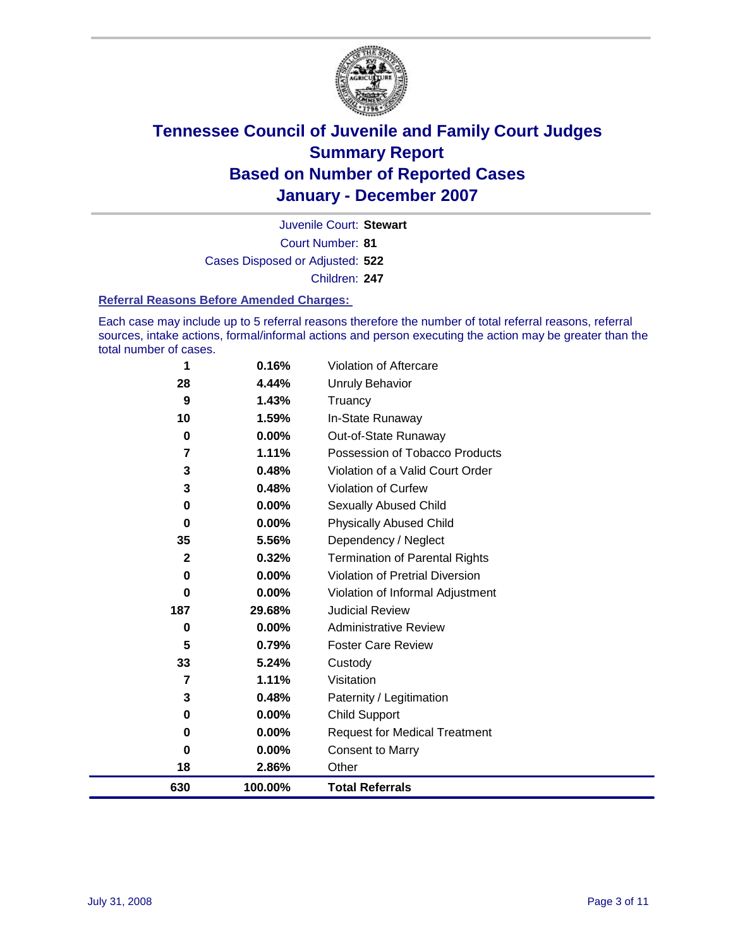

Court Number: **81** Juvenile Court: **Stewart** Cases Disposed or Adjusted: **522** Children: **247**

### **Referral Reasons Before Amended Charges:**

Each case may include up to 5 referral reasons therefore the number of total referral reasons, referral sources, intake actions, formal/informal actions and person executing the action may be greater than the total number of cases.

| 630          | 100.00%  | <b>Total Referrals</b>                 |
|--------------|----------|----------------------------------------|
| 18           | 2.86%    | Other                                  |
| $\bf{0}$     | 0.00%    | <b>Consent to Marry</b>                |
| 0            | 0.00%    | <b>Request for Medical Treatment</b>   |
| 0            | $0.00\%$ | <b>Child Support</b>                   |
| 3            | 0.48%    | Paternity / Legitimation               |
| 7            | 1.11%    | Visitation                             |
| 33           | 5.24%    | Custody                                |
| 5            | 0.79%    | <b>Foster Care Review</b>              |
| 0            | $0.00\%$ | <b>Administrative Review</b>           |
| 187          | 29.68%   | <b>Judicial Review</b>                 |
| $\bf{0}$     | 0.00%    | Violation of Informal Adjustment       |
| 0            | $0.00\%$ | <b>Violation of Pretrial Diversion</b> |
| $\mathbf{2}$ | 0.32%    | <b>Termination of Parental Rights</b>  |
| 35           | 5.56%    | Dependency / Neglect                   |
| $\bf{0}$     | $0.00\%$ | <b>Physically Abused Child</b>         |
| 0            | 0.00%    | <b>Sexually Abused Child</b>           |
| 3            | 0.48%    | Violation of Curfew                    |
| 3            | 0.48%    | Violation of a Valid Court Order       |
| 7            | 1.11%    | Possession of Tobacco Products         |
| 0            | $0.00\%$ | Out-of-State Runaway                   |
| 10           | 1.59%    | In-State Runaway                       |
| 9            | 1.43%    | Truancy                                |
| 28           | 4.44%    | <b>Unruly Behavior</b>                 |
| 1            | 0.16%    | Violation of Aftercare                 |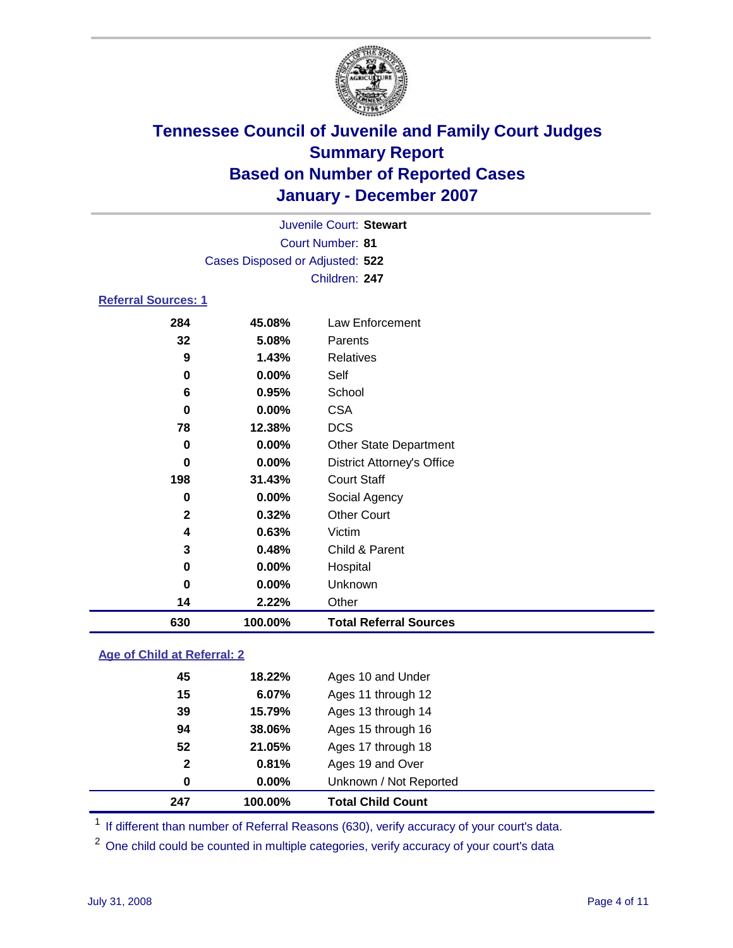

| Juvenile Court: Stewart         |  |
|---------------------------------|--|
| Court Number: 81                |  |
| Cases Disposed or Adjusted: 522 |  |
| Children: 247                   |  |

### **Referral Sources: 1**

| 630          | 100.00%  | <b>Total Referral Sources</b>     |
|--------------|----------|-----------------------------------|
| 14           | 2.22%    | Other                             |
| 0            | 0.00%    | Unknown                           |
| 0            | 0.00%    | Hospital                          |
| 3            | 0.48%    | Child & Parent                    |
| 4            | 0.63%    | Victim                            |
| $\mathbf{2}$ | 0.32%    | <b>Other Court</b>                |
| 0            | 0.00%    | Social Agency                     |
| 198          | 31.43%   | <b>Court Staff</b>                |
| 0            | $0.00\%$ | <b>District Attorney's Office</b> |
| 0            | 0.00%    | <b>Other State Department</b>     |
| 78           | 12.38%   | <b>DCS</b>                        |
| 0            | 0.00%    | <b>CSA</b>                        |
| 6            | 0.95%    | School                            |
| 0            | 0.00%    | Self                              |
| 9            | 1.43%    | Relatives                         |
| 32           | 5.08%    | Parents                           |
| 284          | 45.08%   | Law Enforcement                   |

### **Age of Child at Referral: 2**

| 247          | 100.00% | <b>Total Child Count</b> |
|--------------|---------|--------------------------|
| 0            | 0.00%   | Unknown / Not Reported   |
| $\mathbf{2}$ | 0.81%   | Ages 19 and Over         |
| 52           | 21.05%  | Ages 17 through 18       |
| 94           | 38.06%  | Ages 15 through 16       |
| 39           | 15.79%  | Ages 13 through 14       |
| 15           | 6.07%   | Ages 11 through 12       |
| 45           | 18.22%  | Ages 10 and Under        |
|              |         |                          |

<sup>1</sup> If different than number of Referral Reasons (630), verify accuracy of your court's data.

One child could be counted in multiple categories, verify accuracy of your court's data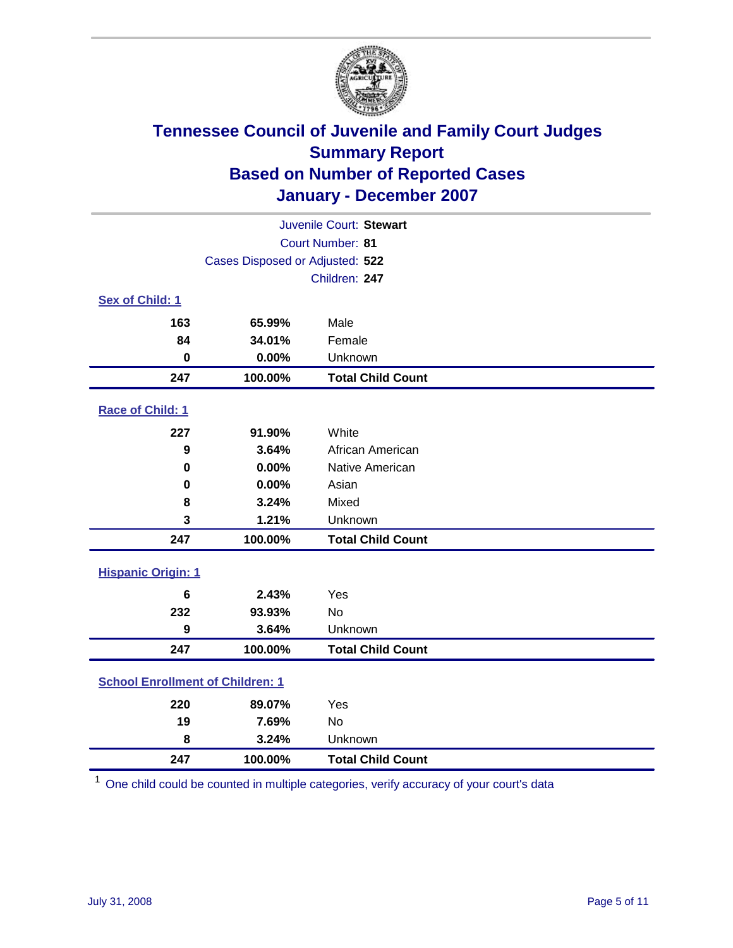

| Juvenile Court: Stewart                 |                                 |                          |  |  |
|-----------------------------------------|---------------------------------|--------------------------|--|--|
|                                         |                                 | Court Number: 81         |  |  |
|                                         | Cases Disposed or Adjusted: 522 |                          |  |  |
|                                         |                                 | Children: 247            |  |  |
| Sex of Child: 1                         |                                 |                          |  |  |
| 163                                     | 65.99%                          | Male                     |  |  |
| 84                                      | 34.01%                          | Female                   |  |  |
| $\bf{0}$                                | 0.00%                           | Unknown                  |  |  |
| 247                                     | 100.00%                         | <b>Total Child Count</b> |  |  |
| Race of Child: 1                        |                                 |                          |  |  |
| 227                                     | 91.90%                          | White                    |  |  |
| 9                                       | 3.64%                           | African American         |  |  |
| 0                                       | 0.00%                           | Native American          |  |  |
| 0                                       | 0.00%                           | Asian                    |  |  |
| 8                                       | 3.24%                           | Mixed                    |  |  |
| 3                                       | 1.21%                           | Unknown                  |  |  |
| 247                                     | 100.00%                         | <b>Total Child Count</b> |  |  |
| <b>Hispanic Origin: 1</b>               |                                 |                          |  |  |
| 6                                       | 2.43%                           | Yes                      |  |  |
| 232                                     | 93.93%                          | <b>No</b>                |  |  |
| 9                                       | 3.64%                           | Unknown                  |  |  |
| 247                                     | 100.00%                         | <b>Total Child Count</b> |  |  |
| <b>School Enrollment of Children: 1</b> |                                 |                          |  |  |
| 220                                     | 89.07%                          | Yes                      |  |  |
| 19                                      | 7.69%                           | No                       |  |  |
| 8                                       | 3.24%                           | Unknown                  |  |  |
| 247                                     | 100.00%                         | <b>Total Child Count</b> |  |  |

One child could be counted in multiple categories, verify accuracy of your court's data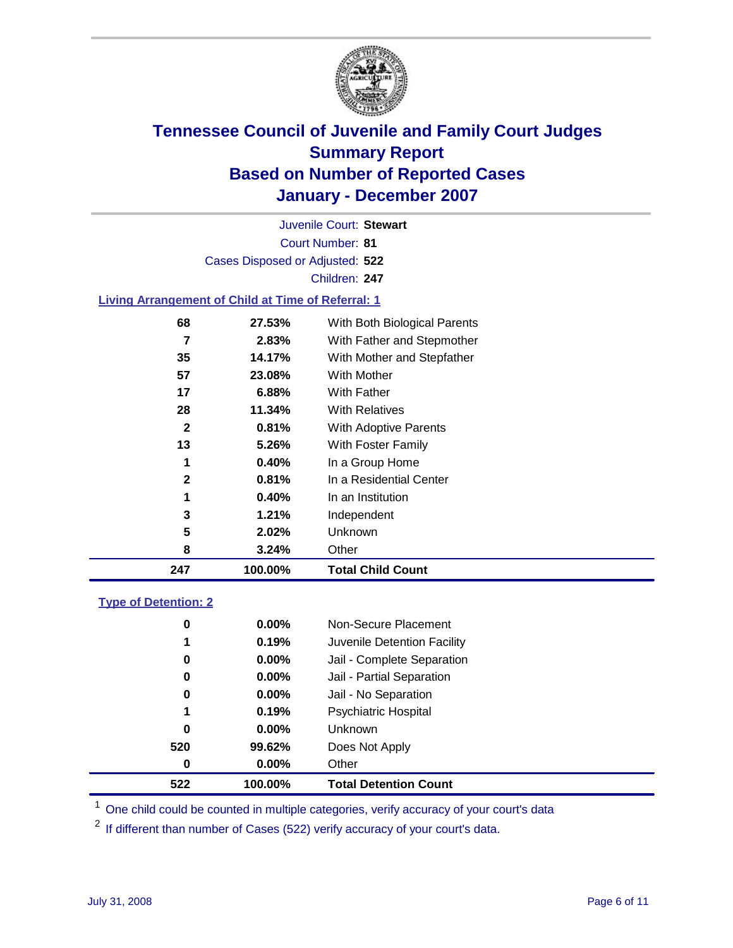

Court Number: **81** Juvenile Court: **Stewart** Cases Disposed or Adjusted: **522** Children: **247**

### **Living Arrangement of Child at Time of Referral: 1**

| 247          | 100.00% | <b>Total Child Count</b>     |
|--------------|---------|------------------------------|
| 8            | 3.24%   | Other                        |
| 5            | 2.02%   | Unknown                      |
| 3            | 1.21%   | Independent                  |
| 1            | 0.40%   | In an Institution            |
| $\mathbf{2}$ | 0.81%   | In a Residential Center      |
| 1            | 0.40%   | In a Group Home              |
| 13           | 5.26%   | With Foster Family           |
| 2            | 0.81%   | With Adoptive Parents        |
| 28           | 11.34%  | <b>With Relatives</b>        |
| 17           | 6.88%   | With Father                  |
| 57           | 23.08%  | With Mother                  |
| 35           | 14.17%  | With Mother and Stepfather   |
| 7            | 2.83%   | With Father and Stepmother   |
| 68           | 27.53%  | With Both Biological Parents |
|              |         |                              |

### **Type of Detention: 2**

| 520<br>0 | 99.62%<br>$0.00\%$ | Does Not Apply<br>Other     |  |
|----------|--------------------|-----------------------------|--|
|          |                    |                             |  |
|          |                    |                             |  |
| 0        | $0.00\%$           | <b>Unknown</b>              |  |
| 1        | 0.19%              | <b>Psychiatric Hospital</b> |  |
| 0        | $0.00\%$           | Jail - No Separation        |  |
| 0        | $0.00\%$           | Jail - Partial Separation   |  |
| 0        | $0.00\%$           | Jail - Complete Separation  |  |
| 1        | 0.19%              | Juvenile Detention Facility |  |
| 0        | $0.00\%$           | Non-Secure Placement        |  |
|          |                    |                             |  |

<sup>1</sup> One child could be counted in multiple categories, verify accuracy of your court's data

<sup>2</sup> If different than number of Cases (522) verify accuracy of your court's data.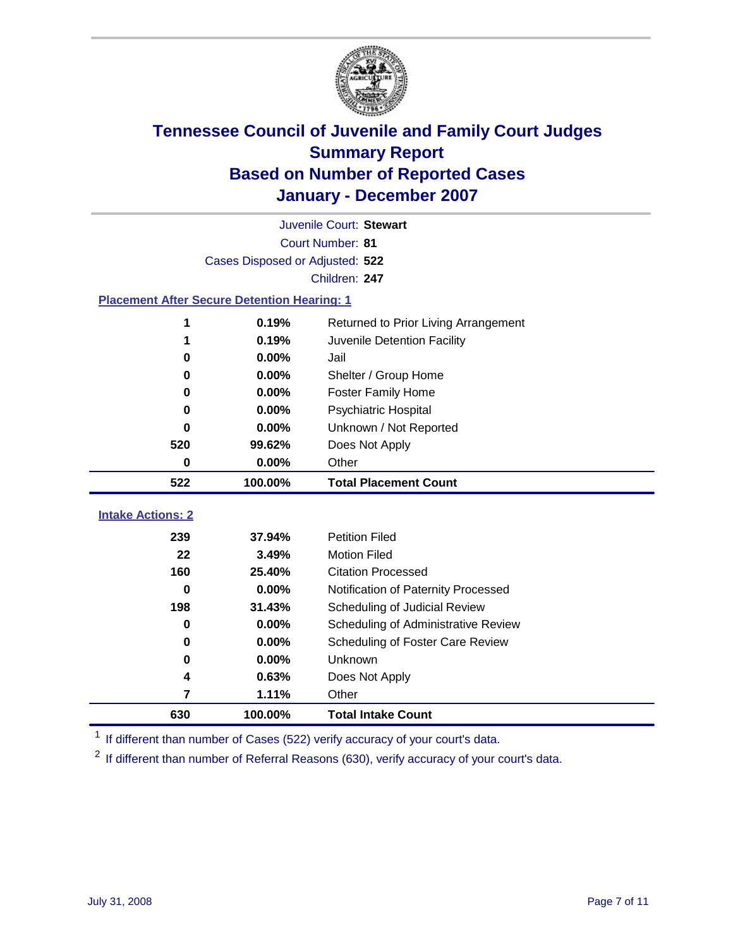

|                                                    | Juvenile Court: Stewart |                                      |  |  |  |
|----------------------------------------------------|-------------------------|--------------------------------------|--|--|--|
|                                                    | Court Number: 81        |                                      |  |  |  |
| Cases Disposed or Adjusted: 522                    |                         |                                      |  |  |  |
|                                                    | Children: 247           |                                      |  |  |  |
| <b>Placement After Secure Detention Hearing: 1</b> |                         |                                      |  |  |  |
| 1                                                  | 0.19%                   | Returned to Prior Living Arrangement |  |  |  |
| 1                                                  | 0.19%                   | Juvenile Detention Facility          |  |  |  |
| 0                                                  | 0.00%                   | Jail                                 |  |  |  |
| 0                                                  | 0.00%                   | Shelter / Group Home                 |  |  |  |
| 0                                                  | 0.00%                   | <b>Foster Family Home</b>            |  |  |  |
| 0                                                  | 0.00%                   | <b>Psychiatric Hospital</b>          |  |  |  |
| 0                                                  | 0.00%                   | Unknown / Not Reported               |  |  |  |
| 520                                                | 99.62%                  | Does Not Apply                       |  |  |  |
| 0                                                  | 0.00%                   | Other                                |  |  |  |
| 522                                                | 100.00%                 | <b>Total Placement Count</b>         |  |  |  |
| <b>Intake Actions: 2</b>                           |                         |                                      |  |  |  |
|                                                    |                         | <b>Petition Filed</b>                |  |  |  |
| 239                                                | 37.94%                  |                                      |  |  |  |
| 22                                                 | 3.49%                   | <b>Motion Filed</b>                  |  |  |  |
| 160                                                | 25.40%                  | <b>Citation Processed</b>            |  |  |  |
| 0                                                  | 0.00%                   | Notification of Paternity Processed  |  |  |  |
| 198                                                | 31.43%                  | Scheduling of Judicial Review        |  |  |  |
| 0                                                  | 0.00%                   | Scheduling of Administrative Review  |  |  |  |
| 0                                                  | 0.00%                   | Scheduling of Foster Care Review     |  |  |  |
| 0                                                  | 0.00%                   | Unknown                              |  |  |  |
| 4                                                  | 0.63%                   | Does Not Apply                       |  |  |  |
| 7                                                  | 1.11%                   | Other                                |  |  |  |
| 630                                                | 100.00%                 | <b>Total Intake Count</b>            |  |  |  |

<sup>1</sup> If different than number of Cases (522) verify accuracy of your court's data.

<sup>2</sup> If different than number of Referral Reasons (630), verify accuracy of your court's data.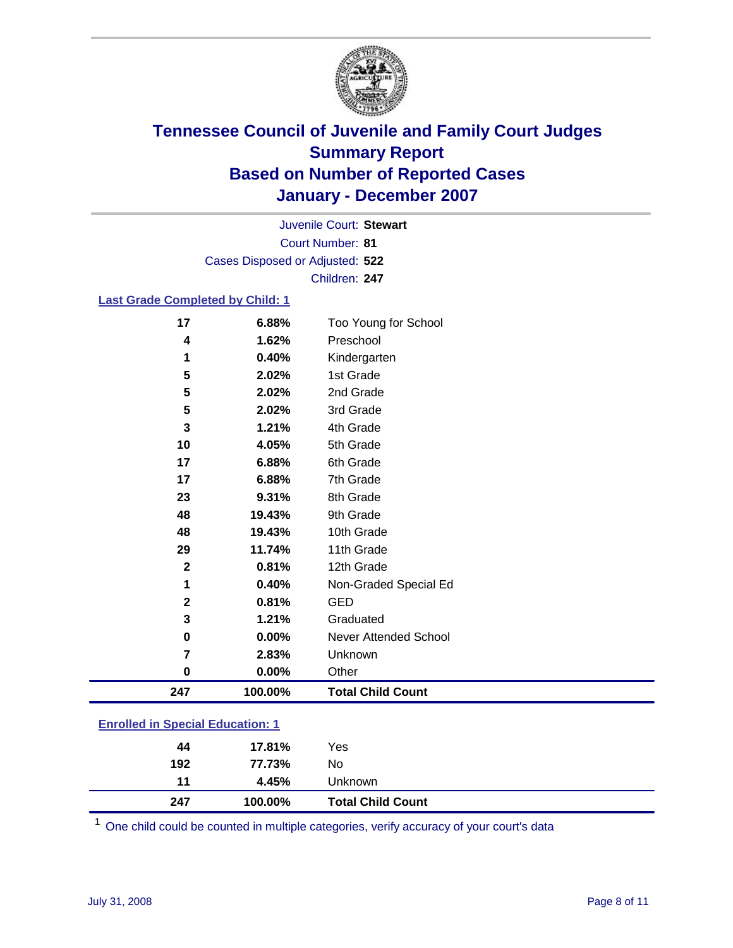

Court Number: **81** Juvenile Court: **Stewart** Cases Disposed or Adjusted: **522** Children: **247**

### **Last Grade Completed by Child: 1**

| 247          | 100.00% | <b>Total Child Count</b> |  |
|--------------|---------|--------------------------|--|
| 0            | 0.00%   | Other                    |  |
| 7            | 2.83%   | Unknown                  |  |
| $\mathbf 0$  | 0.00%   | Never Attended School    |  |
| 3            | 1.21%   | Graduated                |  |
| $\mathbf 2$  | 0.81%   | <b>GED</b>               |  |
| 1            | 0.40%   | Non-Graded Special Ed    |  |
| $\mathbf{2}$ | 0.81%   | 12th Grade               |  |
| 29           | 11.74%  | 11th Grade               |  |
| 48           | 19.43%  | 10th Grade               |  |
| 48           | 19.43%  | 9th Grade                |  |
| 23           | 9.31%   | 8th Grade                |  |
| 17           | 6.88%   | 7th Grade                |  |
| 17           | 6.88%   | 6th Grade                |  |
| 10           | 4.05%   | 5th Grade                |  |
| 3            | 1.21%   | 4th Grade                |  |
| 5            | 2.02%   | 3rd Grade                |  |
| 5            | 2.02%   | 2nd Grade                |  |
| 5            | 2.02%   | 1st Grade                |  |
| 1            | 0.40%   | Kindergarten             |  |
| 4            | 1.62%   | Preschool                |  |
| 17           | 6.88%   | Too Young for School     |  |

# **Enrolled in Special Education: 1**

| 247 | 100.00% | <b>Total Child Count</b> |
|-----|---------|--------------------------|
| 11  | 4.45%   | Unknown                  |
| 192 | 77.73%  | No                       |
| 44  | 17.81%  | Yes                      |

One child could be counted in multiple categories, verify accuracy of your court's data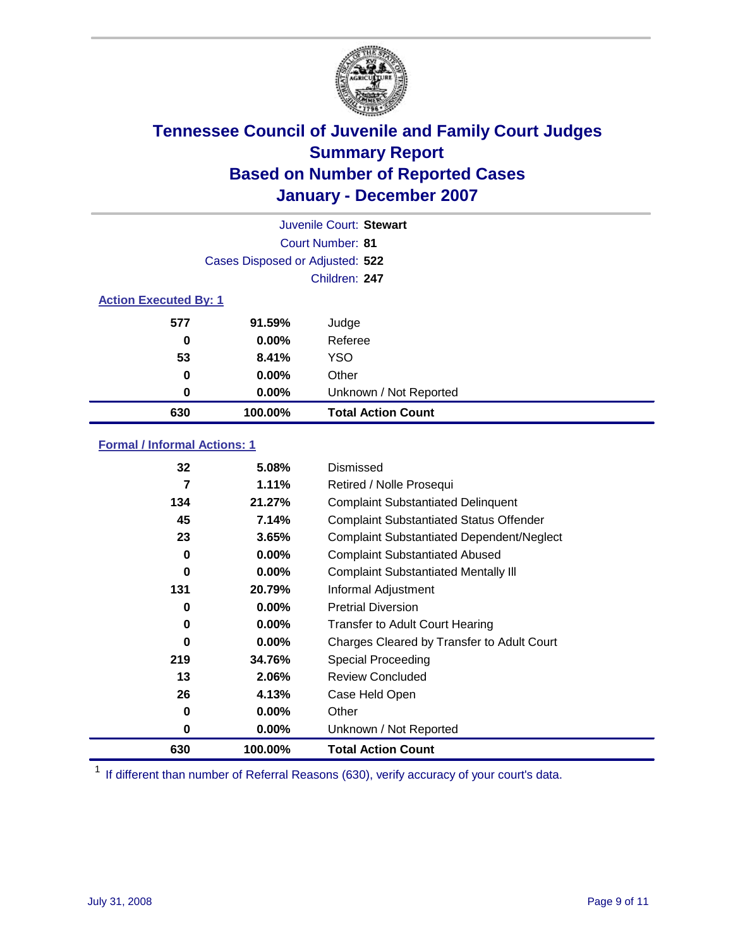

|                              |                                 | Juvenile Court: Stewart   |
|------------------------------|---------------------------------|---------------------------|
|                              |                                 | Court Number: 81          |
|                              | Cases Disposed or Adjusted: 522 |                           |
|                              |                                 | Children: 247             |
| <b>Action Executed By: 1</b> |                                 |                           |
| 577                          | 91.59%                          | Judge                     |
| 0                            | $0.00\%$                        | Referee                   |
| 53                           | 8.41%                           | <b>YSO</b>                |
| 0                            | $0.00\%$                        | Other                     |
| 0                            | $0.00\%$                        | Unknown / Not Reported    |
| 630                          | 100.00%                         | <b>Total Action Count</b> |

### **Formal / Informal Actions: 1**

| 32       | 5.08%    | Dismissed                                        |
|----------|----------|--------------------------------------------------|
| 7        | 1.11%    | Retired / Nolle Prosequi                         |
| 134      | 21.27%   | <b>Complaint Substantiated Delinquent</b>        |
| 45       | 7.14%    | <b>Complaint Substantiated Status Offender</b>   |
| 23       | 3.65%    | <b>Complaint Substantiated Dependent/Neglect</b> |
| 0        | $0.00\%$ | <b>Complaint Substantiated Abused</b>            |
| $\bf{0}$ | $0.00\%$ | <b>Complaint Substantiated Mentally III</b>      |
| 131      | 20.79%   | Informal Adjustment                              |
| 0        | $0.00\%$ | <b>Pretrial Diversion</b>                        |
| 0        | $0.00\%$ | <b>Transfer to Adult Court Hearing</b>           |
| 0        | $0.00\%$ | Charges Cleared by Transfer to Adult Court       |
| 219      | 34.76%   | Special Proceeding                               |
| 13       | 2.06%    | <b>Review Concluded</b>                          |
| 26       | 4.13%    | Case Held Open                                   |
| 0        | $0.00\%$ | Other                                            |
| 0        | $0.00\%$ | Unknown / Not Reported                           |
| 630      | 100.00%  | <b>Total Action Count</b>                        |

<sup>1</sup> If different than number of Referral Reasons (630), verify accuracy of your court's data.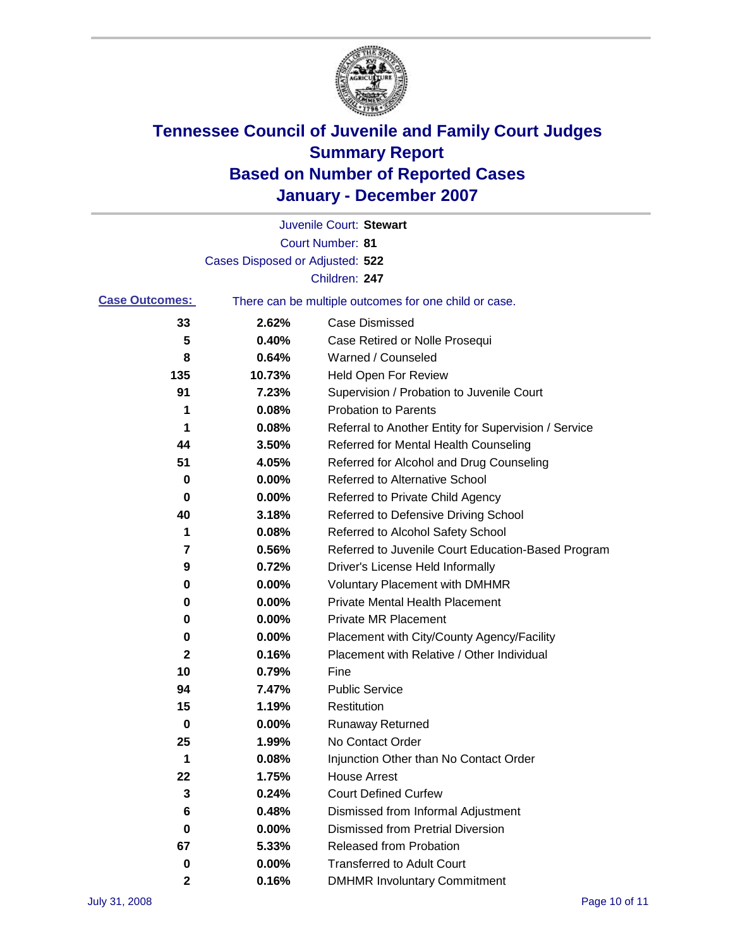

|                       |                                 | Juvenile Court: Stewart                               |
|-----------------------|---------------------------------|-------------------------------------------------------|
|                       |                                 | <b>Court Number: 81</b>                               |
|                       | Cases Disposed or Adjusted: 522 |                                                       |
|                       |                                 | Children: 247                                         |
| <b>Case Outcomes:</b> |                                 | There can be multiple outcomes for one child or case. |
| 33                    | 2.62%                           | <b>Case Dismissed</b>                                 |
| 5                     | 0.40%                           | Case Retired or Nolle Prosequi                        |
| 8                     | 0.64%                           | Warned / Counseled                                    |
| 135                   | 10.73%                          | <b>Held Open For Review</b>                           |
| 91                    | 7.23%                           | Supervision / Probation to Juvenile Court             |
| 1                     | 0.08%                           | <b>Probation to Parents</b>                           |
| 1                     | 0.08%                           | Referral to Another Entity for Supervision / Service  |
| 44                    | 3.50%                           | Referred for Mental Health Counseling                 |
| 51                    | 4.05%                           | Referred for Alcohol and Drug Counseling              |
| 0                     | 0.00%                           | <b>Referred to Alternative School</b>                 |
| 0                     | 0.00%                           | Referred to Private Child Agency                      |
| 40                    | 3.18%                           | Referred to Defensive Driving School                  |
| 1                     | 0.08%                           | Referred to Alcohol Safety School                     |
| 7                     | 0.56%                           | Referred to Juvenile Court Education-Based Program    |
| 9                     | 0.72%                           | Driver's License Held Informally                      |
| 0                     | 0.00%                           | <b>Voluntary Placement with DMHMR</b>                 |
| 0                     | 0.00%                           | <b>Private Mental Health Placement</b>                |
| 0                     | 0.00%                           | <b>Private MR Placement</b>                           |
| 0                     | 0.00%                           | Placement with City/County Agency/Facility            |
| $\mathbf 2$           | 0.16%                           | Placement with Relative / Other Individual            |
| 10                    | 0.79%                           | Fine                                                  |
| 94                    | 7.47%                           | <b>Public Service</b>                                 |
| 15                    | 1.19%                           | Restitution                                           |
| 0                     | 0.00%                           | <b>Runaway Returned</b>                               |
| 25                    | 1.99%                           | No Contact Order                                      |
| 1                     | 0.08%                           | Injunction Other than No Contact Order                |
| 22                    | 1.75%                           | <b>House Arrest</b>                                   |
| 3                     | 0.24%                           | <b>Court Defined Curfew</b>                           |
| 6                     | 0.48%                           | Dismissed from Informal Adjustment                    |
| 0                     | 0.00%                           | <b>Dismissed from Pretrial Diversion</b>              |
| 67                    | 5.33%                           | <b>Released from Probation</b>                        |
| 0                     | 0.00%                           | <b>Transferred to Adult Court</b>                     |
| $\mathbf{2}$          | 0.16%                           | <b>DMHMR Involuntary Commitment</b>                   |